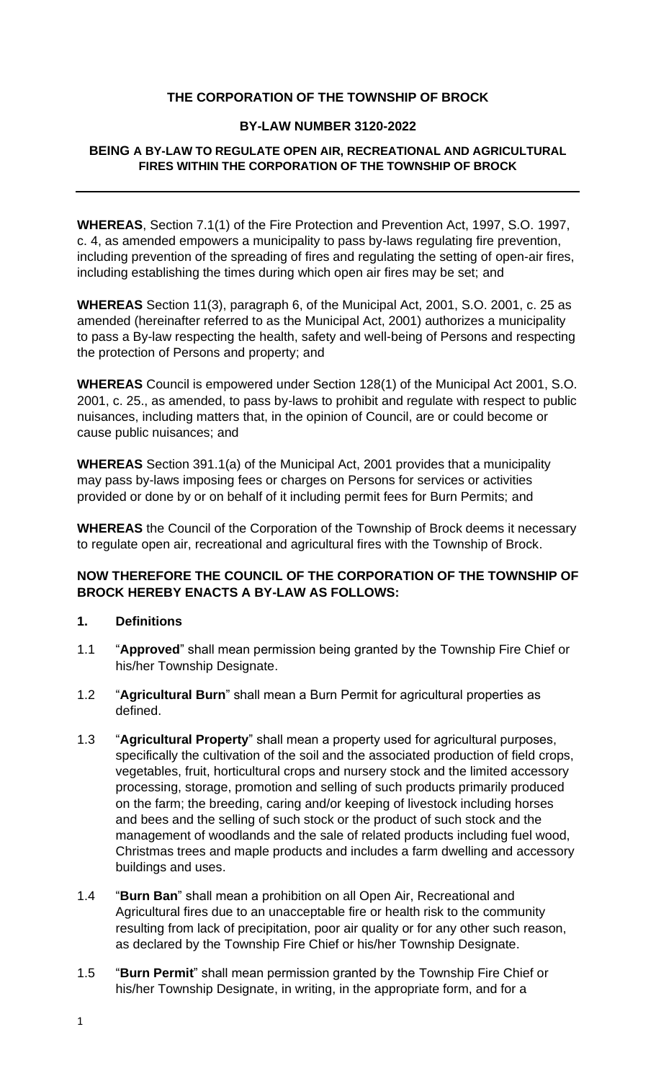## **THE CORPORATION OF THE TOWNSHIP OF BROCK**

### **BY-LAW NUMBER 3120-2022**

#### **BEING A BY-LAW TO REGULATE OPEN AIR, RECREATIONAL AND AGRICULTURAL FIRES WITHIN THE CORPORATION OF THE TOWNSHIP OF BROCK**

**WHEREAS**, Section 7.1(1) of the Fire Protection and Prevention Act, 1997, S.O. 1997, c. 4, as amended empowers a municipality to pass by-laws regulating fire prevention, including prevention of the spreading of fires and regulating the setting of open-air fires, including establishing the times during which open air fires may be set; and

**WHEREAS** Section 11(3), paragraph 6, of the Municipal Act, 2001, S.O. 2001, c. 25 as amended (hereinafter referred to as the Municipal Act, 2001) authorizes a municipality to pass a By-law respecting the health, safety and well-being of Persons and respecting the protection of Persons and property; and

**WHEREAS** Council is empowered under Section 128(1) of the Municipal Act 2001, S.O. 2001, c. 25., as amended, to pass by-laws to prohibit and regulate with respect to public nuisances, including matters that, in the opinion of Council, are or could become or cause public nuisances; and

**WHEREAS** Section 391.1(a) of the Municipal Act, 2001 provides that a municipality may pass by-laws imposing fees or charges on Persons for services or activities provided or done by or on behalf of it including permit fees for Burn Permits; and

**WHEREAS** the Council of the Corporation of the Township of Brock deems it necessary to regulate open air, recreational and agricultural fires with the Township of Brock.

## **NOW THEREFORE THE COUNCIL OF THE CORPORATION OF THE TOWNSHIP OF BROCK HEREBY ENACTS A BY-LAW AS FOLLOWS:**

### **1. Definitions**

- 1.1 "**Approved**" shall mean permission being granted by the Township Fire Chief or his/her Township Designate.
- 1.2 "**Agricultural Burn**" shall mean a Burn Permit for agricultural properties as defined.
- 1.3 "**Agricultural Property**" shall mean a property used for agricultural purposes, specifically the cultivation of the soil and the associated production of field crops, vegetables, fruit, horticultural crops and nursery stock and the limited accessory processing, storage, promotion and selling of such products primarily produced on the farm; the breeding, caring and/or keeping of livestock including horses and bees and the selling of such stock or the product of such stock and the management of woodlands and the sale of related products including fuel wood, Christmas trees and maple products and includes a farm dwelling and accessory buildings and uses.
- 1.4 "**Burn Ban**" shall mean a prohibition on all Open Air, Recreational and Agricultural fires due to an unacceptable fire or health risk to the community resulting from lack of precipitation, poor air quality or for any other such reason, as declared by the Township Fire Chief or his/her Township Designate.
- 1.5 "**Burn Permit**" shall mean permission granted by the Township Fire Chief or his/her Township Designate, in writing, in the appropriate form, and for a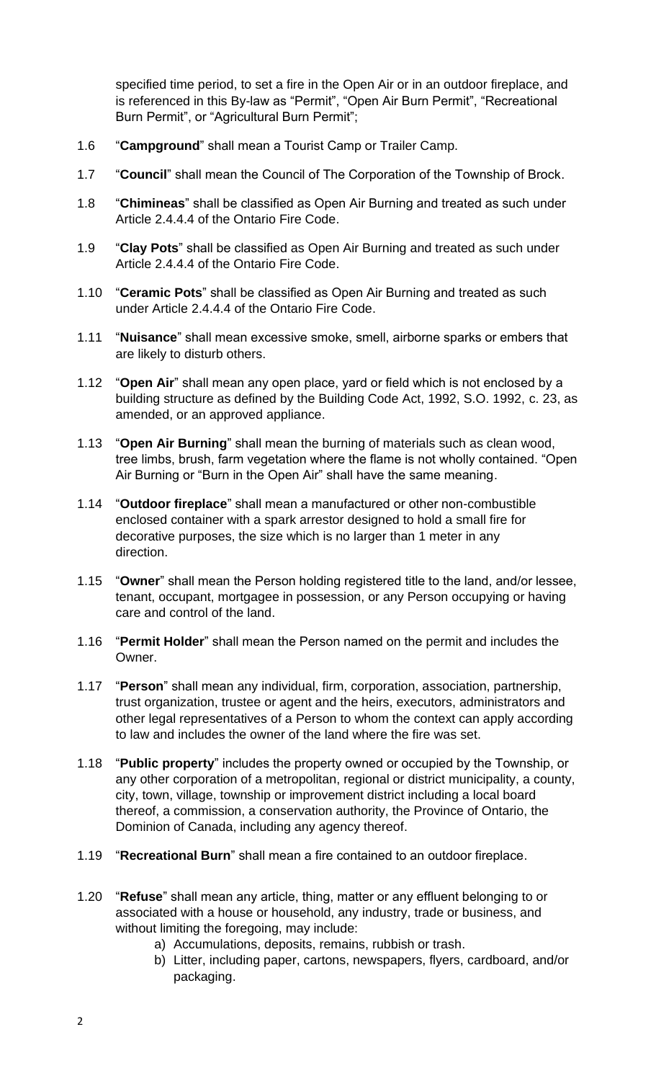specified time period, to set a fire in the Open Air or in an outdoor fireplace, and is referenced in this By-law as "Permit", "Open Air Burn Permit", "Recreational Burn Permit", or "Agricultural Burn Permit";

- 1.6 "**Campground**" shall mean a Tourist Camp or Trailer Camp.
- 1.7 "**Council**" shall mean the Council of The Corporation of the Township of Brock.
- 1.8 "**Chimineas**" shall be classified as Open Air Burning and treated as such under Article 2.4.4.4 of the Ontario Fire Code.
- 1.9 "**Clay Pots**" shall be classified as Open Air Burning and treated as such under Article 2.4.4.4 of the Ontario Fire Code.
- 1.10 "**Ceramic Pots**" shall be classified as Open Air Burning and treated as such under Article 2.4.4.4 of the Ontario Fire Code.
- 1.11 "**Nuisance**" shall mean excessive smoke, smell, airborne sparks or embers that are likely to disturb others.
- 1.12 "**Open Air**" shall mean any open place, yard or field which is not enclosed by a building structure as defined by the Building Code Act, 1992, S.O. 1992, c. 23, as amended, or an approved appliance.
- 1.13 "**Open Air Burning**" shall mean the burning of materials such as clean wood, tree limbs, brush, farm vegetation where the flame is not wholly contained. "Open Air Burning or "Burn in the Open Air" shall have the same meaning.
- 1.14 "**Outdoor fireplace**" shall mean a manufactured or other non-combustible enclosed container with a spark arrestor designed to hold a small fire for decorative purposes, the size which is no larger than 1 meter in any direction.
- 1.15 "**Owner**" shall mean the Person holding registered title to the land, and/or lessee, tenant, occupant, mortgagee in possession, or any Person occupying or having care and control of the land.
- 1.16 "**Permit Holder**" shall mean the Person named on the permit and includes the Owner.
- 1.17 "**Person**" shall mean any individual, firm, corporation, association, partnership, trust organization, trustee or agent and the heirs, executors, administrators and other legal representatives of a Person to whom the context can apply according to law and includes the owner of the land where the fire was set.
- 1.18 "**Public property**" includes the property owned or occupied by the Township, or any other corporation of a metropolitan, regional or district municipality, a county, city, town, village, township or improvement district including a local board thereof, a commission, a conservation authority, the Province of Ontario, the Dominion of Canada, including any agency thereof.
- 1.19 "**Recreational Burn**" shall mean a fire contained to an outdoor fireplace.
- 1.20 "**Refuse**" shall mean any article, thing, matter or any effluent belonging to or associated with a house or household, any industry, trade or business, and without limiting the foregoing, may include:
	- a) Accumulations, deposits, remains, rubbish or trash.
	- b) Litter, including paper, cartons, newspapers, flyers, cardboard, and/or packaging.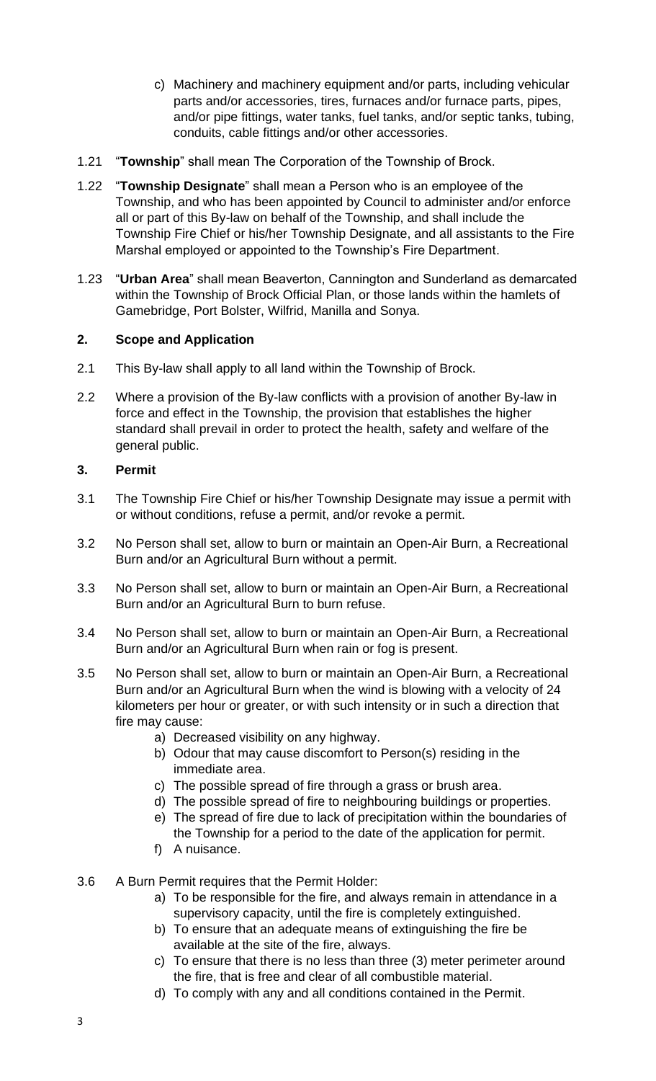- c) Machinery and machinery equipment and/or parts, including vehicular parts and/or accessories, tires, furnaces and/or furnace parts, pipes, and/or pipe fittings, water tanks, fuel tanks, and/or septic tanks, tubing, conduits, cable fittings and/or other accessories.
- 1.21 "**Township**" shall mean The Corporation of the Township of Brock.
- 1.22 "**Township Designate**" shall mean a Person who is an employee of the Township, and who has been appointed by Council to administer and/or enforce all or part of this By-law on behalf of the Township, and shall include the Township Fire Chief or his/her Township Designate, and all assistants to the Fire Marshal employed or appointed to the Township's Fire Department.
- 1.23 "**Urban Area**" shall mean Beaverton, Cannington and Sunderland as demarcated within the Township of Brock Official Plan, or those lands within the hamlets of Gamebridge, Port Bolster, Wilfrid, Manilla and Sonya.

## **2. Scope and Application**

- 2.1 This By-law shall apply to all land within the Township of Brock.
- 2.2 Where a provision of the By-law conflicts with a provision of another By-law in force and effect in the Township, the provision that establishes the higher standard shall prevail in order to protect the health, safety and welfare of the general public.

## **3. Permit**

- 3.1 The Township Fire Chief or his/her Township Designate may issue a permit with or without conditions, refuse a permit, and/or revoke a permit.
- 3.2 No Person shall set, allow to burn or maintain an Open-Air Burn, a Recreational Burn and/or an Agricultural Burn without a permit.
- 3.3 No Person shall set, allow to burn or maintain an Open-Air Burn, a Recreational Burn and/or an Agricultural Burn to burn refuse.
- 3.4 No Person shall set, allow to burn or maintain an Open-Air Burn, a Recreational Burn and/or an Agricultural Burn when rain or fog is present.
- 3.5 No Person shall set, allow to burn or maintain an Open-Air Burn, a Recreational Burn and/or an Agricultural Burn when the wind is blowing with a velocity of 24 kilometers per hour or greater, or with such intensity or in such a direction that fire may cause:
	- a) Decreased visibility on any highway.
	- b) Odour that may cause discomfort to Person(s) residing in the immediate area.
	- c) The possible spread of fire through a grass or brush area.
	- d) The possible spread of fire to neighbouring buildings or properties.
	- e) The spread of fire due to lack of precipitation within the boundaries of the Township for a period to the date of the application for permit.
	- f) A nuisance.
- 3.6 A Burn Permit requires that the Permit Holder:
	- a) To be responsible for the fire, and always remain in attendance in a supervisory capacity, until the fire is completely extinguished.
	- b) To ensure that an adequate means of extinguishing the fire be available at the site of the fire, always.
	- c) To ensure that there is no less than three (3) meter perimeter around the fire, that is free and clear of all combustible material.
	- d) To comply with any and all conditions contained in the Permit.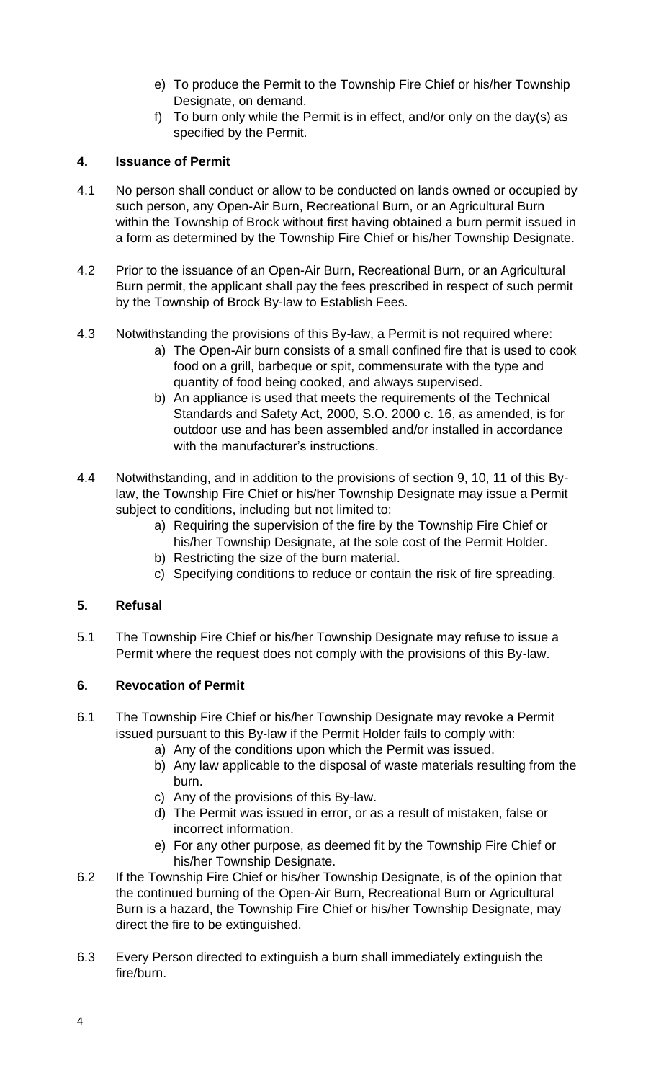- e) To produce the Permit to the Township Fire Chief or his/her Township Designate, on demand.
- f) To burn only while the Permit is in effect, and/or only on the day(s) as specified by the Permit.

## **4. Issuance of Permit**

- 4.1 No person shall conduct or allow to be conducted on lands owned or occupied by such person, any Open-Air Burn, Recreational Burn, or an Agricultural Burn within the Township of Brock without first having obtained a burn permit issued in a form as determined by the Township Fire Chief or his/her Township Designate.
- 4.2 Prior to the issuance of an Open-Air Burn, Recreational Burn, or an Agricultural Burn permit, the applicant shall pay the fees prescribed in respect of such permit by the Township of Brock By-law to Establish Fees.
- 4.3 Notwithstanding the provisions of this By-law, a Permit is not required where:
	- a) The Open-Air burn consists of a small confined fire that is used to cook food on a grill, barbeque or spit, commensurate with the type and quantity of food being cooked, and always supervised.
	- b) An appliance is used that meets the requirements of the Technical Standards and Safety Act, 2000, S.O. 2000 c. 16, as amended, is for outdoor use and has been assembled and/or installed in accordance with the manufacturer's instructions.
- 4.4 Notwithstanding, and in addition to the provisions of section 9, 10, 11 of this Bylaw, the Township Fire Chief or his/her Township Designate may issue a Permit subject to conditions, including but not limited to:
	- a) Requiring the supervision of the fire by the Township Fire Chief or his/her Township Designate, at the sole cost of the Permit Holder.
	- b) Restricting the size of the burn material.
	- c) Specifying conditions to reduce or contain the risk of fire spreading.

# **5. Refusal**

5.1 The Township Fire Chief or his/her Township Designate may refuse to issue a Permit where the request does not comply with the provisions of this By-law.

# **6. Revocation of Permit**

- 6.1 The Township Fire Chief or his/her Township Designate may revoke a Permit issued pursuant to this By-law if the Permit Holder fails to comply with:
	- a) Any of the conditions upon which the Permit was issued.
	- b) Any law applicable to the disposal of waste materials resulting from the burn.
	- c) Any of the provisions of this By-law.
	- d) The Permit was issued in error, or as a result of mistaken, false or incorrect information.
	- e) For any other purpose, as deemed fit by the Township Fire Chief or his/her Township Designate.
- 6.2 If the Township Fire Chief or his/her Township Designate, is of the opinion that the continued burning of the Open-Air Burn, Recreational Burn or Agricultural Burn is a hazard, the Township Fire Chief or his/her Township Designate, may direct the fire to be extinguished.
- 6.3 Every Person directed to extinguish a burn shall immediately extinguish the fire/burn.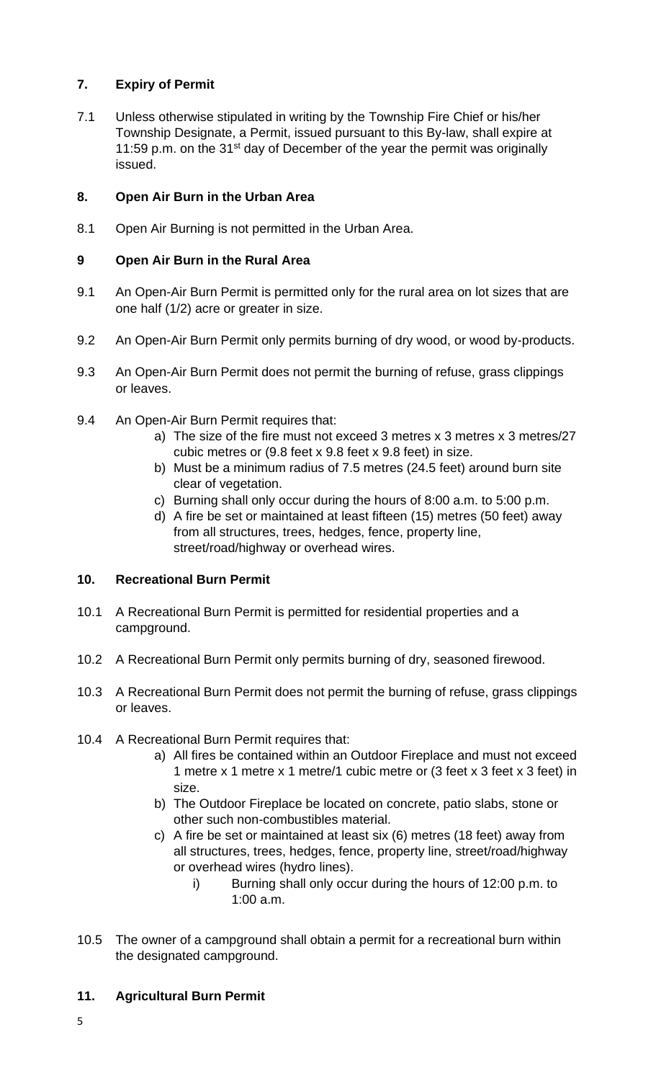# **7. Expiry of Permit**

7.1 Unless otherwise stipulated in writing by the Township Fire Chief or his/her Township Designate, a Permit, issued pursuant to this By-law, shall expire at 11:59 p.m. on the 31<sup>st</sup> day of December of the year the permit was originally issued.

# **8. Open Air Burn in the Urban Area**

8.1 Open Air Burning is not permitted in the Urban Area.

# **9 Open Air Burn in the Rural Area**

- 9.1 An Open-Air Burn Permit is permitted only for the rural area on lot sizes that are one half (1/2) acre or greater in size.
- 9.2 An Open-Air Burn Permit only permits burning of dry wood, or wood by-products.
- 9.3 An Open-Air Burn Permit does not permit the burning of refuse, grass clippings or leaves.
- 9.4 An Open-Air Burn Permit requires that:
	- a) The size of the fire must not exceed 3 metres x 3 metres x 3 metres/27 cubic metres or (9.8 feet x 9.8 feet x 9.8 feet) in size.
	- b) Must be a minimum radius of 7.5 metres (24.5 feet) around burn site clear of vegetation.
	- c) Burning shall only occur during the hours of 8:00 a.m. to 5:00 p.m.
	- d) A fire be set or maintained at least fifteen (15) metres (50 feet) away from all structures, trees, hedges, fence, property line, street/road/highway or overhead wires.

# **10. Recreational Burn Permit**

- 10.1 A Recreational Burn Permit is permitted for residential properties and a campground.
- 10.2 A Recreational Burn Permit only permits burning of dry, seasoned firewood.
- 10.3 A Recreational Burn Permit does not permit the burning of refuse, grass clippings or leaves.
- 10.4 A Recreational Burn Permit requires that:
	- a) All fires be contained within an Outdoor Fireplace and must not exceed 1 metre x 1 metre x 1 metre/1 cubic metre or (3 feet x 3 feet x 3 feet) in size.
	- b) The Outdoor Fireplace be located on concrete, patio slabs, stone or other such non-combustibles material.
	- c) A fire be set or maintained at least six (6) metres (18 feet) away from all structures, trees, hedges, fence, property line, street/road/highway or overhead wires (hydro lines).
		- i) Burning shall only occur during the hours of 12:00 p.m. to 1:00 a.m.
- 10.5 The owner of a campground shall obtain a permit for a recreational burn within the designated campground.

# **11. Agricultural Burn Permit**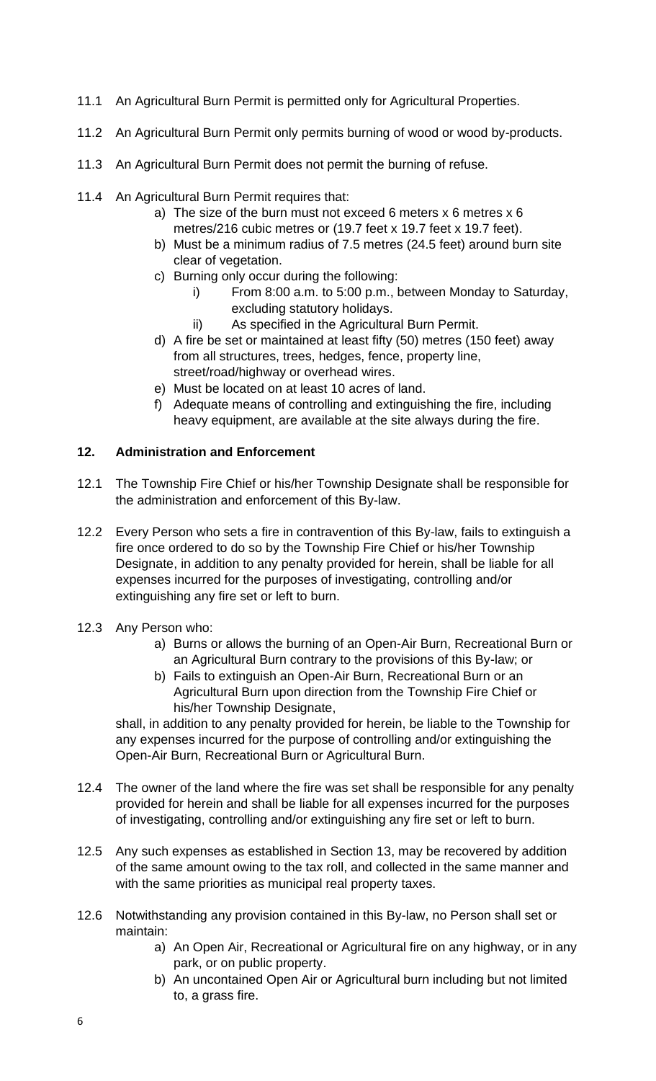- 11.1 An Agricultural Burn Permit is permitted only for Agricultural Properties.
- 11.2 An Agricultural Burn Permit only permits burning of wood or wood by-products.
- 11.3 An Agricultural Burn Permit does not permit the burning of refuse.
- 11.4 An Agricultural Burn Permit requires that:
	- a) The size of the burn must not exceed 6 meters x 6 metres x 6 metres/216 cubic metres or (19.7 feet x 19.7 feet x 19.7 feet).
	- b) Must be a minimum radius of 7.5 metres (24.5 feet) around burn site clear of vegetation.
	- c) Burning only occur during the following:
		- i) From 8:00 a.m. to 5:00 p.m., between Monday to Saturday, excluding statutory holidays.
		- ii) As specified in the Agricultural Burn Permit.
	- d) A fire be set or maintained at least fifty (50) metres (150 feet) away from all structures, trees, hedges, fence, property line, street/road/highway or overhead wires.
	- e) Must be located on at least 10 acres of land.
	- f) Adequate means of controlling and extinguishing the fire, including heavy equipment, are available at the site always during the fire.

## **12. Administration and Enforcement**

- 12.1 The Township Fire Chief or his/her Township Designate shall be responsible for the administration and enforcement of this By-law.
- 12.2 Every Person who sets a fire in contravention of this By-law, fails to extinguish a fire once ordered to do so by the Township Fire Chief or his/her Township Designate, in addition to any penalty provided for herein, shall be liable for all expenses incurred for the purposes of investigating, controlling and/or extinguishing any fire set or left to burn.
- 12.3 Any Person who:
	- a) Burns or allows the burning of an Open-Air Burn, Recreational Burn or an Agricultural Burn contrary to the provisions of this By-law; or
	- b) Fails to extinguish an Open-Air Burn, Recreational Burn or an Agricultural Burn upon direction from the Township Fire Chief or his/her Township Designate,

shall, in addition to any penalty provided for herein, be liable to the Township for any expenses incurred for the purpose of controlling and/or extinguishing the Open-Air Burn, Recreational Burn or Agricultural Burn.

- 12.4 The owner of the land where the fire was set shall be responsible for any penalty provided for herein and shall be liable for all expenses incurred for the purposes of investigating, controlling and/or extinguishing any fire set or left to burn.
- 12.5 Any such expenses as established in Section 13, may be recovered by addition of the same amount owing to the tax roll, and collected in the same manner and with the same priorities as municipal real property taxes.
- 12.6 Notwithstanding any provision contained in this By-law, no Person shall set or maintain:
	- a) An Open Air, Recreational or Agricultural fire on any highway, or in any park, or on public property.
	- b) An uncontained Open Air or Agricultural burn including but not limited to, a grass fire.